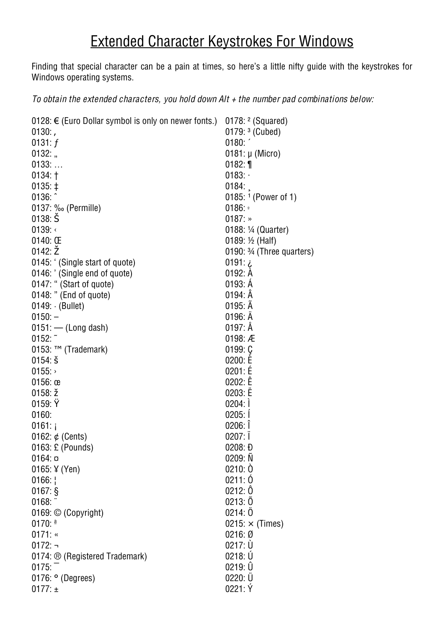## **Extended Character Keystrokes For Windows**

Finding that special character can be a pain at times, so here's a little nifty guide with the keystrokes for Windows operating systems.

To obtain the extended characters, you hold down  $Alt + the$  number pad combinations below:

| 0128: € (Euro Dollar symbol is only on newer fonts.) | 0178: $2$ (Squared)                  |
|------------------------------------------------------|--------------------------------------|
| $0130:$ ,                                            | 0179: $3$ (Cubed)                    |
| 0131: $f$                                            | 0180:                                |
| $0132:$ "                                            | $0181: \mu$ (Micro)                  |
| $0133:$                                              | $0182:$ 1                            |
| $0134:$ †                                            | 0183:                                |
| $0135: \pm$                                          | 0184:                                |
| 0136:                                                | 0185: $1$ (Power of 1)               |
| 0137: ‰ (Permille)                                   | 0186:                                |
| $0138:$ $\check{S}$                                  | $0187:$ »                            |
| 0139:                                                | 0188: 1/4 (Quarter)                  |
| $0140:$ Œ                                            | 0189: 1/2 (Half)                     |
| 0142:Z                                               | 0190: $\frac{3}{4}$ (Three quarters) |
| 0145: ' (Single start of quote)                      | $0191:$ $\zeta$                      |
| 0146: ' (Single end of quote)                        | 0192: A                              |
| 0147: " (Start of quote)                             | 0193: A                              |
| 0148: " (End of quote)                               | $0194:$ $A$                          |
| 0149: (Bullet)                                       | $0195:$ $A$                          |
| $0150: -$                                            | 0196: A                              |
| $0151:$ - (Long dash)                                | $0197:$ Å                            |
| 0152:                                                | 0198: $AE$                           |
| $0153$ : ™ (Trademark)                               | 0199:Q                               |
| $0154:$ š                                            | 0200: E                              |
| 0155:                                                | 0201: E                              |
| $0156:$ œ                                            | 0202: E                              |
| $0158: \check{z}$                                    | 0203: E                              |
| 0159:Y                                               | 0204:1                               |
| 0160:                                                | 0205:1                               |
| $0161:$ i                                            | 0206:                                |
| 0162: $\phi$ (Cents)                                 | 0207:1                               |
| 0163: £ (Pounds)                                     | 0208: D                              |
| $0164:$ $\circ$                                      | 0209: N                              |
| 0165: $\frac{1}{2}$ (Yen)                            | 0210:0                               |
| 0166:                                                | 0211:0                               |
| $0167:$ §                                            | 0212: 0                              |
| 0168:                                                | 0213:0                               |
| 0169: © (Copyright)                                  | 0214:0                               |
| 0170: $a$                                            | $0215: \times$ (Times)               |
| 0171:                                                | 0216:Ø                               |
| $0172: \neg$                                         | $0217: \dot{U}$                      |
| 0174: ® (Registered Trademark)                       | 0218: U                              |
| 0175:                                                | 0219:U                               |
|                                                      | $0220: \ddot{U}$                     |
| $0176:$ $\circ$ (Degrees)                            |                                      |
| 0177: $\pm$                                          | 0221:Y                               |